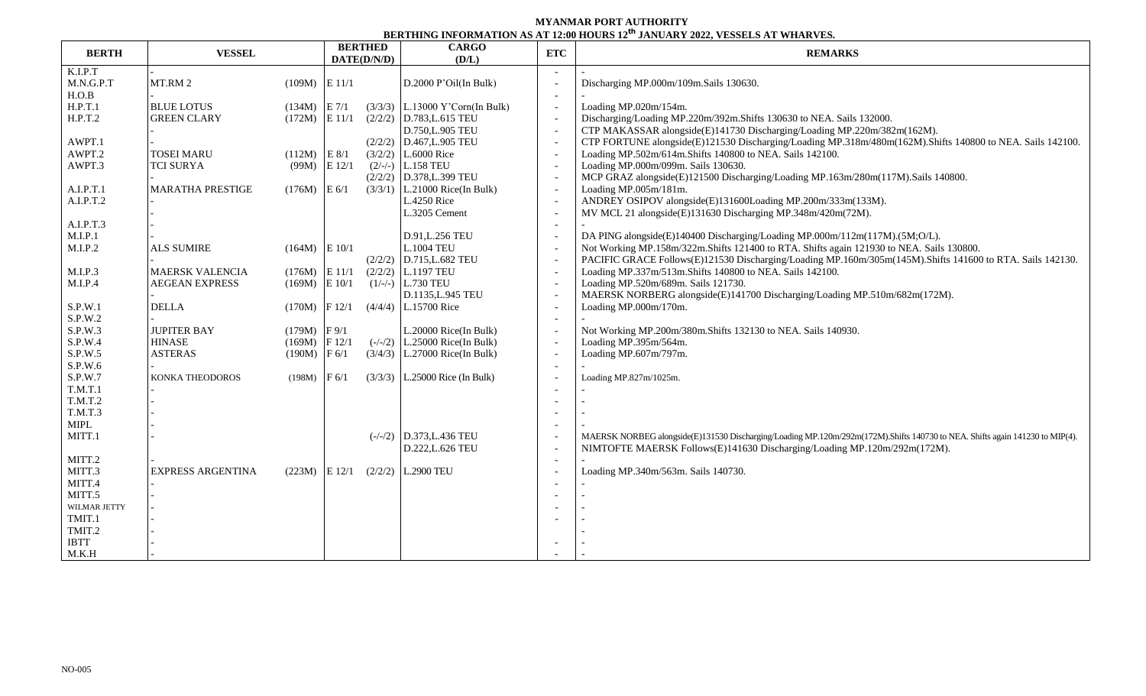## **MYANMAR PORT AUTHORITY BERTHING INFORMATION AS AT 12:00 HOURS 12 th JANUARY 2022, VESSELS AT WHARVES.**

| <b>BERTH</b>   | <b>VESSEL</b>            |                   | <b>BERTHED</b><br>DATE(D/N/D) |  | <b>CARGO</b><br>(D/L)                          | <b>ETC</b>               | <b>REMARKS</b>                                                                                                                                                                                           |
|----------------|--------------------------|-------------------|-------------------------------|--|------------------------------------------------|--------------------------|----------------------------------------------------------------------------------------------------------------------------------------------------------------------------------------------------------|
| K.I.P.T        |                          |                   |                               |  |                                                |                          |                                                                                                                                                                                                          |
| M.N.G.P.T      | MT.RM 2                  | $(109M)$ E 11/1   |                               |  | D.2000 P'Oil(In Bulk)                          |                          | Discharging MP.000m/109m.Sails 130630.                                                                                                                                                                   |
| H.O.B          |                          |                   |                               |  |                                                | $\overline{\phantom{a}}$ |                                                                                                                                                                                                          |
| H.P.T.1        | <b>BLUE LOTUS</b>        | $(134M)$ E 7/1    |                               |  | $(3/3/3)$ L.13000 Y'Corn(In Bulk)              | $\sim$                   | Loading MP.020m/154m.                                                                                                                                                                                    |
| H.P.T.2        | <b>GREEN CLARY</b>       | $(172M)$ E 11/1   |                               |  | $(2/2/2)$ D.783, L.615 TEU                     |                          | Discharging/Loading MP.220m/392m.Shifts 130630 to NEA. Sails 132000.                                                                                                                                     |
|                |                          |                   |                               |  | D.750, L.905 TEU                               |                          | CTP MAKASSAR alongside(E)141730 Discharging/Loading MP.220m/382m(162M).                                                                                                                                  |
| AWPT.1         |                          |                   |                               |  | $(2/2/2)$ D.467, L.905 TEU                     |                          | CTP FORTUNE alongside(E)121530 Discharging/Loading MP.318m/480m(162M). Shifts 140800 to NEA. Sails 142100.                                                                                               |
| AWPT.2         | <b>TOSEI MARU</b>        | $(112M)$ E 8/1    |                               |  | $(3/2/2)$ L.6000 Rice                          |                          | Loading MP.502m/614m.Shifts 140800 to NEA. Sails 142100.                                                                                                                                                 |
| AWPT.3         | <b>TCI SURYA</b>         | (99M)             | E 12/1                        |  | $(2/-/-)$ L.158 TEU                            | $\overline{\phantom{a}}$ | Loading MP.000m/099m. Sails 130630.                                                                                                                                                                      |
|                |                          |                   |                               |  | (2/2/2) D.378,L.399 TEU                        |                          | MCP GRAZ alongside(E)121500 Discharging/Loading MP.163m/280m(117M).Sails 140800.                                                                                                                         |
| A.I.P.T.1      | <b>MARATHA PRESTIGE</b>  | $(176M)$ E 6/1    |                               |  | $(3/3/1)$ L.21000 Rice(In Bulk)                |                          | Loading MP.005m/181m.                                                                                                                                                                                    |
| A.I.P.T.2      |                          |                   |                               |  | L.4250 Rice                                    |                          | ANDREY OSIPOV alongside(E)131600Loading MP.200m/333m(133M).                                                                                                                                              |
|                |                          |                   |                               |  | L.3205 Cement                                  |                          | MV MCL 21 alongside(E)131630 Discharging MP.348m/420m(72M).                                                                                                                                              |
| A.I.P.T.3      |                          |                   |                               |  |                                                | $\overline{\phantom{a}}$ |                                                                                                                                                                                                          |
| M.I.P.1        |                          |                   |                               |  | D.91, L.256 TEU                                |                          | DA PING alongside(E)140400 Discharging/Loading MP.000m/112m(117M).(5M;O/L).                                                                                                                              |
| M.I.P.2        | <b>ALS SUMIRE</b>        | $(164M)$ E 10/1   |                               |  | <b>L.1004 TEU</b>                              |                          | Not Working MP.158m/322m.Shifts 121400 to RTA. Shifts again 121930 to NEA. Sails 130800.                                                                                                                 |
|                |                          |                   |                               |  | $(2/2/2)$ D.715, L.682 TEU                     | $\overline{\phantom{a}}$ | PACIFIC GRACE Follows(E)121530 Discharging/Loading MP.160m/305m(145M).Shifts 141600 to RTA. Sails 142130.                                                                                                |
| M.I.P.3        | MAERSK VALENCIA          | $(176M)$ E 11/1   |                               |  | $(2/2/2)$ L.1197 TEU                           |                          | Loading MP.337m/513m.Shifts 140800 to NEA. Sails 142100.                                                                                                                                                 |
| M.I.P.4        | <b>AEGEAN EXPRESS</b>    | $(169M)$ E $10/1$ |                               |  | $(1/-)$ L.730 TEU                              |                          | Loading MP.520m/689m. Sails 121730.                                                                                                                                                                      |
|                |                          |                   |                               |  | D.1135, L.945 TEU                              |                          | MAERSK NORBERG alongside(E)141700 Discharging/Loading MP.510m/682m(172M).                                                                                                                                |
| S.P.W.1        | <b>DELLA</b>             | $(170M)$ F 12/1   |                               |  | $(4/4/4)$ L.15700 Rice                         |                          | Loading MP.000m/170m.                                                                                                                                                                                    |
| S.P.W.2        |                          |                   |                               |  |                                                | $\overline{\phantom{a}}$ |                                                                                                                                                                                                          |
| S.P.W.3        | <b>JUPITER BAY</b>       | $(179M)$ F 9/1    |                               |  | L.20000 Rice(In Bulk)                          |                          | Not Working MP.200m/380m.Shifts 132130 to NEA. Sails 140930.                                                                                                                                             |
| S.P.W.4        | <b>HINASE</b>            | $(169M)$ F 12/1   |                               |  | $(-/-/2)$   L.25000 Rice(In Bulk)              |                          | Loading MP.395m/564m.                                                                                                                                                                                    |
| S.P.W.5        | <b>ASTERAS</b>           | $(190M)$ F 6/1    |                               |  | $(3/4/3)$ L.27000 Rice(In Bulk)                | $\overline{\phantom{a}}$ | Loading MP.607m/797m.                                                                                                                                                                                    |
| S.P.W.6        |                          |                   |                               |  |                                                |                          |                                                                                                                                                                                                          |
| S.P.W.7        | <b>KONKA THEODOROS</b>   | (198M)            | F 6/1                         |  | $(3/3/3)$ L.25000 Rice (In Bulk)               |                          | Loading MP.827m/1025m.                                                                                                                                                                                   |
| T.M.T.1        |                          |                   |                               |  |                                                | $\overline{\phantom{a}}$ |                                                                                                                                                                                                          |
| T.M.T.2        |                          |                   |                               |  |                                                |                          |                                                                                                                                                                                                          |
| <b>T.M.T.3</b> |                          |                   |                               |  |                                                | $\overline{\phantom{0}}$ |                                                                                                                                                                                                          |
| MIPL           |                          |                   |                               |  |                                                |                          |                                                                                                                                                                                                          |
| MITT.1         |                          |                   |                               |  | $(-/-/2)$ D.373, L.436 TEU<br>D.222, L.626 TEU |                          | MAERSK NORBEG alongside(E)131530 Discharging/Loading MP.120m/292m(172M).Shifts 140730 to NEA. Shifts again 141230 to MIP(4).<br>NIMTOFTE MAERSK Follows(E)141630 Discharging/Loading MP.120m/292m(172M). |
| MITT.2         |                          |                   |                               |  |                                                | $\overline{\phantom{a}}$ |                                                                                                                                                                                                          |
| MITT.3         | <b>EXPRESS ARGENTINA</b> | $(223M)$ E 12/1   |                               |  | $(2/2/2)$ L.2900 TEU                           |                          | Loading MP.340m/563m. Sails 140730.                                                                                                                                                                      |
| MITT.4         |                          |                   |                               |  |                                                |                          |                                                                                                                                                                                                          |
| MITT.5         |                          |                   |                               |  |                                                |                          |                                                                                                                                                                                                          |
| WILMAR JETTY   |                          |                   |                               |  |                                                |                          |                                                                                                                                                                                                          |
| TMIT.1         |                          |                   |                               |  |                                                |                          |                                                                                                                                                                                                          |
| TMIT.2         |                          |                   |                               |  |                                                |                          |                                                                                                                                                                                                          |
| <b>IBTT</b>    |                          |                   |                               |  |                                                |                          |                                                                                                                                                                                                          |
| M.K.H          |                          |                   |                               |  |                                                |                          |                                                                                                                                                                                                          |